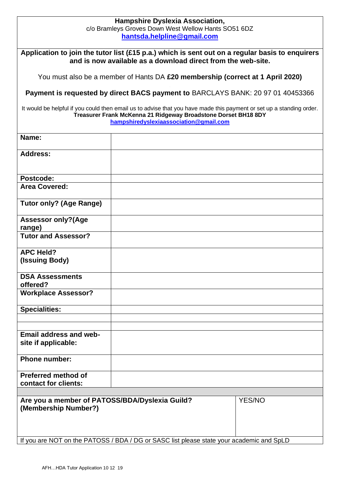## **Hampshire Dyslexia Association,**  c/o Bramleys Groves Down West Wellow Hants SO51 6DZ **[hantsda.helpline@gmail.com](about:blank)**

**Application to join the tutor list (£15 p.a.) which is sent out on a regular basis to enquirers and is now available as a download direct from the web-site.**

You must also be a member of Hants DA **£20 membership (correct at 1 April 2020)**

**Payment is requested by direct BACS payment to** BARCLAYS BANK: 20 97 01 40453366

It would be helpful if you could then email us to advise that you have made this payment or set up a standing order. **Treasurer Frank McKenna 21 Ridgeway Broadstone Dorset BH18 8DY [hampshiredyslexiaassociation@gmail.com](mailto:hampshiredyslexiaassociation@gmail.com)**

| Name:                                                                                    |  |        |
|------------------------------------------------------------------------------------------|--|--------|
| <b>Address:</b>                                                                          |  |        |
| Postcode:                                                                                |  |        |
| <b>Area Covered:</b>                                                                     |  |        |
| <b>Tutor only? (Age Range)</b>                                                           |  |        |
| <b>Assessor only? (Age</b><br>range)                                                     |  |        |
| <b>Tutor and Assessor?</b>                                                               |  |        |
| <b>APC Held?</b><br>(Issuing Body)                                                       |  |        |
| <b>DSA Assessments</b><br>offered?                                                       |  |        |
| <b>Workplace Assessor?</b>                                                               |  |        |
| <b>Specialities:</b>                                                                     |  |        |
|                                                                                          |  |        |
| <b>Email address and web-</b><br>site if applicable:                                     |  |        |
| <b>Phone number:</b>                                                                     |  |        |
| Preferred method of<br>contact for clients:                                              |  |        |
|                                                                                          |  |        |
| Are you a member of PATOSS/BDA/Dyslexia Guild?<br>(Membership Number?)                   |  | YES/NO |
|                                                                                          |  |        |
| If you are NOT on the PATOSS / BDA / DG or SASC list please state your academic and SpLD |  |        |